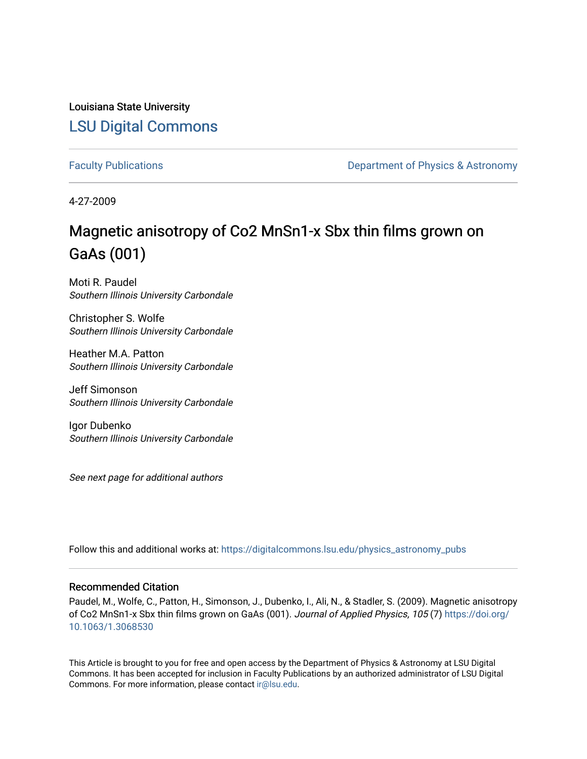Louisiana State University [LSU Digital Commons](https://digitalcommons.lsu.edu/)

[Faculty Publications](https://digitalcommons.lsu.edu/physics_astronomy_pubs) **Exercise 2 and Table 2 and Table 2 and Table 2 and Table 2 and Table 2 and Table 2 and Table 2 and Table 2 and Table 2 and Table 2 and Table 2 and Table 2 and Table 2 and Table 2 and Table 2 and Table** 

4-27-2009

# Magnetic anisotropy of Co2 MnSn1-x Sbx thin films grown on GaAs (001)

Moti R. Paudel Southern Illinois University Carbondale

Christopher S. Wolfe Southern Illinois University Carbondale

Heather M.A. Patton Southern Illinois University Carbondale

Jeff Simonson Southern Illinois University Carbondale

Igor Dubenko Southern Illinois University Carbondale

See next page for additional authors

Follow this and additional works at: [https://digitalcommons.lsu.edu/physics\\_astronomy\\_pubs](https://digitalcommons.lsu.edu/physics_astronomy_pubs?utm_source=digitalcommons.lsu.edu%2Fphysics_astronomy_pubs%2F5308&utm_medium=PDF&utm_campaign=PDFCoverPages) 

#### Recommended Citation

Paudel, M., Wolfe, C., Patton, H., Simonson, J., Dubenko, I., Ali, N., & Stadler, S. (2009). Magnetic anisotropy of Co2 MnSn1-x Sbx thin films grown on GaAs (001). Journal of Applied Physics, 105 (7) [https://doi.org/](https://doi.org/10.1063/1.3068530) [10.1063/1.3068530](https://doi.org/10.1063/1.3068530) 

This Article is brought to you for free and open access by the Department of Physics & Astronomy at LSU Digital Commons. It has been accepted for inclusion in Faculty Publications by an authorized administrator of LSU Digital Commons. For more information, please contact [ir@lsu.edu](mailto:ir@lsu.edu).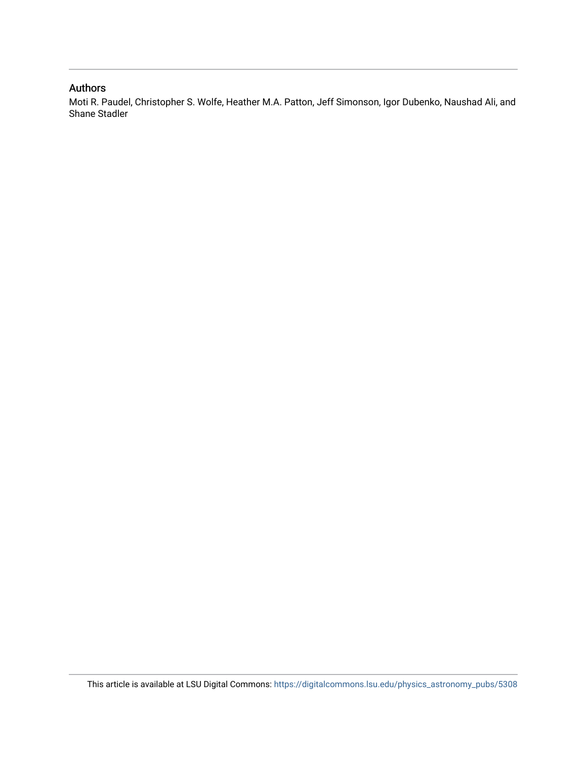### Authors

Moti R. Paudel, Christopher S. Wolfe, Heather M.A. Patton, Jeff Simonson, Igor Dubenko, Naushad Ali, and Shane Stadler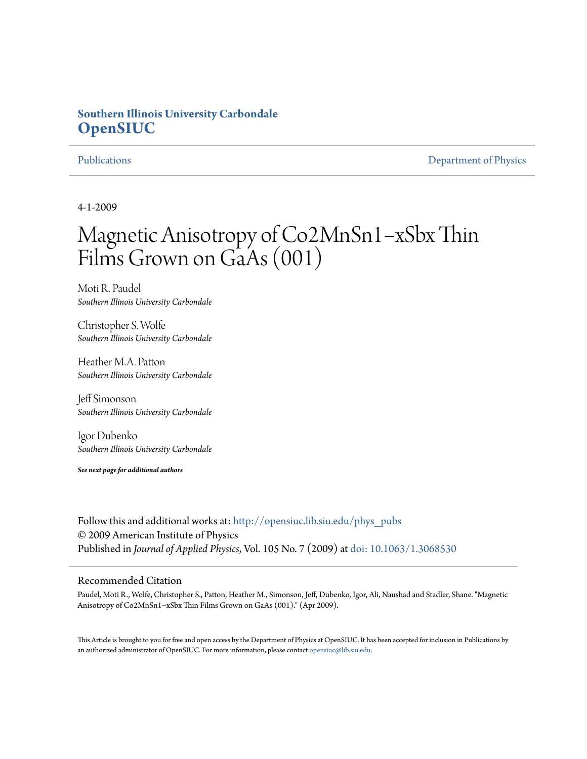## **Southern Illinois University Carbondale [OpenSIUC](http://opensiuc.lib.siu.edu?utm_source=opensiuc.lib.siu.edu%2Fphys_pubs%2F28&utm_medium=PDF&utm_campaign=PDFCoverPages)**

[Publications](http://opensiuc.lib.siu.edu/phys_pubs?utm_source=opensiuc.lib.siu.edu%2Fphys_pubs%2F28&utm_medium=PDF&utm_campaign=PDFCoverPages) [Department of Physics](http://opensiuc.lib.siu.edu/phys?utm_source=opensiuc.lib.siu.edu%2Fphys_pubs%2F28&utm_medium=PDF&utm_campaign=PDFCoverPages)

4-1-2009

# Magnetic Anisotropy of Co2MnSn1−xSbx Thin Films Grown on GaAs (001)

Moti R. Paudel *Southern Illinois University Carbondale*

Christopher S. Wolfe *Southern Illinois University Carbondale*

Heather M.A. Patton *Southern Illinois University Carbondale*

Jeff Simonson *Southern Illinois University Carbondale*

Igor Dubenko *Southern Illinois University Carbondale*

*See next page for additional authors*

Follow this and additional works at: [http://opensiuc.lib.siu.edu/phys\\_pubs](http://opensiuc.lib.siu.edu/phys_pubs?utm_source=opensiuc.lib.siu.edu%2Fphys_pubs%2F28&utm_medium=PDF&utm_campaign=PDFCoverPages) © 2009 American Institute of Physics Published in *Journal of Applied Physics*, Vol. 105 No. 7 (2009) at [doi: 10.1063/1.3068530](http://dx.doi.org/10.1063/1.3068530)

#### Recommended Citation

Paudel, Moti R., Wolfe, Christopher S., Patton, Heather M., Simonson, Jeff, Dubenko, Igor, Ali, Naushad and Stadler, Shane. "Magnetic Anisotropy of Co2MnSn1−xSbx Thin Films Grown on GaAs (001)." (Apr 2009).

This Article is brought to you for free and open access by the Department of Physics at OpenSIUC. It has been accepted for inclusion in Publications by an authorized administrator of OpenSIUC. For more information, please contact [opensiuc@lib.siu.edu.](mailto:opensiuc@lib.siu.edu)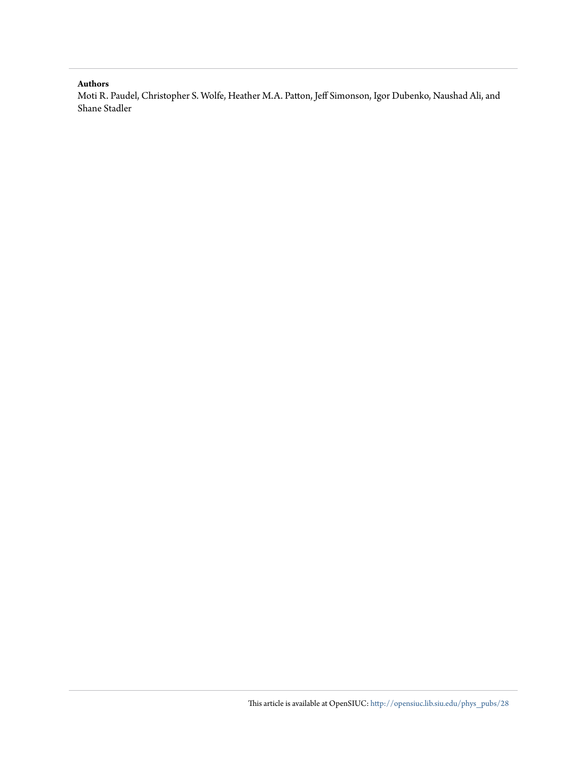#### **Authors**

Moti R. Paudel, Christopher S. Wolfe, Heather M.A. Patton, Jeff Simonson, Igor Dubenko, Naushad Ali, and Shane Stadler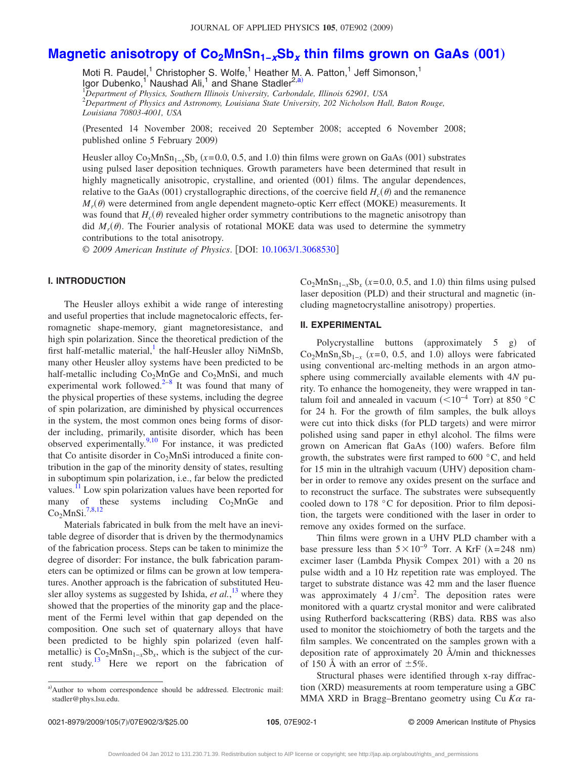### Magnetic anisotropy of Co<sub>2</sub>MnSn<sub>1-*x*</sub>Sb<sub>*x*</sub> thin films grown on GaAs (001)

Moti R. Paudel,<sup>1</sup> Christopher S. Wolfe,<sup>1</sup> Heather M. A. Patton,<sup>1</sup> Jeff Simonson,<sup>1</sup> Igor Dubenko,<sup>1</sup> Naushad Ali,<sup>1</sup> and Shane Stadler<sup>2[,a](#page-4-0))</sup> 1 *Department of Physics, Southern Illinois University, Carbondale, Illinois 62901, USA*

2 *Department of Physics and Astronomy, Louisiana State University, 202 Nicholson Hall, Baton Rouge, Louisiana 70803-4001, USA*

Presented 14 November 2008; received 20 September 2008; accepted 6 November 2008; published online 5 February 2009)

Heusler alloy  $Co_2MnSn_{1-x}Sb_x$  ( $x=0.0, 0.5,$  and 1.0) thin films were grown on GaAs (001) substrates using pulsed laser deposition techniques. Growth parameters have been determined that result in highly magnetically anisotropic, crystalline, and oriented (001) films. The angular dependences, relative to the GaAs (001) crystallographic directions, of the coercive field  $H_c(\theta)$  and the remanence  $M_r(\theta)$  were determined from angle dependent magneto-optic Kerr effect (MOKE) measurements. It was found that  $H_c(\theta)$  revealed higher order symmetry contributions to the magnetic anisotropy than did  $M_r(\theta)$ . The Fourier analysis of rotational MOKE data was used to determine the symmetry contributions to the total anisotropy.

© 2009 American Institute of Physics. [DOI: [10.1063/1.3068530](http://dx.doi.org/10.1063/1.3068530)]

#### **I. INTRODUCTION**

The Heusler alloys exhibit a wide range of interesting and useful properties that include magnetocaloric effects, ferromagnetic shape-memory, giant magnetoresistance, and high spin polarization. Since the theoretical prediction of the first half-metallic material, the half-Heusler alloy NiMnSb, many other Heusler alloy systems have been predicted to be half-metallic including  $Co<sub>2</sub>MnGe$  and  $Co<sub>2</sub>MnSi$ , and much experimental work followed. $2^{-8}$  $2^{-8}$  $2^{-8}$  It was found that many of the physical properties of these systems, including the degree of spin polarization, are diminished by physical occurrences in the system, the most common ones being forms of disorder including, primarily, antisite disorder, which has been observed experimentally. $9,10$  $9,10$  For instance, it was predicted that Co antisite disorder in  $Co<sub>2</sub>MnSi$  introduced a finite contribution in the gap of the minority density of states, resulting in suboptimum spin polarization, i.e., far below the predicted values.<sup>11</sup> Low spin polarization values have been reported for many of these systems including  $Co<sub>2</sub>MnGe$  and  $Co<sub>2</sub>MnSi.<sup>7,8,12</sup>$  $Co<sub>2</sub>MnSi.<sup>7,8,12</sup>$  $Co<sub>2</sub>MnSi.<sup>7,8,12</sup>$  $Co<sub>2</sub>MnSi.<sup>7,8,12</sup>$ 

Materials fabricated in bulk from the melt have an inevitable degree of disorder that is driven by the thermodynamics of the fabrication process. Steps can be taken to minimize the degree of disorder: For instance, the bulk fabrication parameters can be optimized or films can be grown at low temperatures. Another approach is the fabrication of substituted Heusler alloy systems as suggested by Ishida,  $et al.<sup>13</sup>$  $et al.<sup>13</sup>$  $et al.<sup>13</sup>$  where they showed that the properties of the minority gap and the placement of the Fermi level within that gap depended on the composition. One such set of quaternary alloys that have been predicted to be highly spin polarized (even halfmetallic) is  $Co_2MnSn_{1-x}Sb_x$ , which is the subject of the current study.<sup>13</sup> Here we report on the fabrication of

<span id="page-4-0"></span>a)Author to whom correspondence should be addressed. Electronic mail:

 $Co<sub>2</sub>MnSn<sub>1-x</sub>Sh<sub>x</sub> (x=0.0, 0.5, and 1.0)$  thin films using pulsed laser deposition (PLD) and their structural and magnetic (including magnetocrystalline anisotropy) properties.

#### **II. EXPERIMENTAL**

Polycrystalline buttons (approximately 5 g) of  $Co_2MnSn_xSb_{1-x}$  ( $x=0$ , 0.5, and 1.0) alloys were fabricated using conventional arc-melting methods in an argon atmosphere using commercially available elements with 4*N* purity. To enhance the homogeneity, they were wrapped in tantalum foil and annealed in vacuum ( $\leq 10^{-4}$  Torr) at 850 °C for 24 h. For the growth of film samples, the bulk alloys were cut into thick disks (for PLD targets) and were mirror polished using sand paper in ethyl alcohol. The films were grown on American flat GaAs (100) wafers. Before film growth, the substrates were first ramped to 600 °C, and held for 15 min in the ultrahigh vacuum (UHV) deposition chamber in order to remove any oxides present on the surface and to reconstruct the surface. The substrates were subsequently cooled down to 178 °C for deposition. Prior to film deposition, the targets were conditioned with the laser in order to remove any oxides formed on the surface.

Thin films were grown in a UHV PLD chamber with a base pressure less than  $5\times10^{-9}$  Torr. A KrF ( $\lambda$ =248 nm) excimer laser (Lambda Physik Compex 201) with a 20 ns pulse width and a 10 Hz repetition rate was employed. The target to substrate distance was 42 mm and the laser fluence was approximately  $4 \text{ J/cm}^2$ . The deposition rates were monitored with a quartz crystal monitor and were calibrated using Rutherford backscattering (RBS) data. RBS was also used to monitor the stoichiometry of both the targets and the film samples. We concentrated on the samples grown with a deposition rate of approximately 20 Å/min and thicknesses of 150 Å with an error of  $\pm$ 5%.

Structural phases were identified through x-ray diffraction (XRD) measurements at room temperature using a GBC MMA XRD in Bragg–Brentano geometry using Cu Ka ra-

stadler@phys.lsu.edu.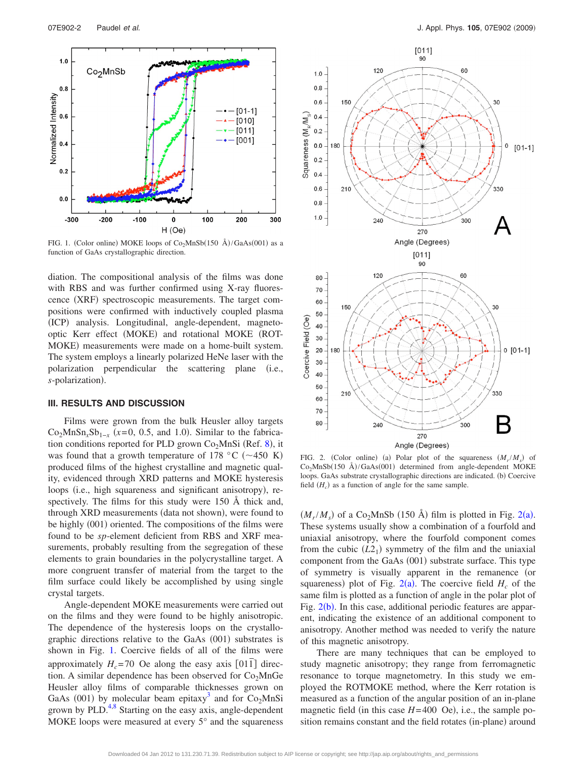<span id="page-5-0"></span>

FIG. 1. (Color online) MOKE loops of  $Co<sub>2</sub>MnSb(150 \text{ Å})/GaAs(001)$  as a function of GaAs crystallographic direction.

diation. The compositional analysis of the films was done with RBS and was further confirmed using X-ray fluorescence (XRF) spectroscopic measurements. The target compositions were confirmed with inductively coupled plasma (ICP) analysis. Longitudinal, angle-dependent, magnetooptic Kerr effect (MOKE) and rotational MOKE (ROT-MOKE) measurements were made on a home-built system. The system employs a linearly polarized HeNe laser with the polarization perpendicular the scattering plane (i.e., s-polarization).

#### **III. RESULTS AND DISCUSSION**

Films were grown from the bulk Heusler alloy targets  $Co_2MnSn_xSb_{1-x}$  ( $x=0$ , 0.5, and 1.0). Similar to the fabrication conditions reported for PLD grown  $Co<sub>2</sub>MnSi$  (Ref. [8](#page-6-2)), it was found that a growth temperature of 178 °C ( $\sim$ 450 K) produced films of the highest crystalline and magnetic quality, evidenced through XRD patterns and MOKE hysteresis loops (i.e., high squareness and significant anisotropy), respectively. The films for this study were 150 Å thick and, through XRD measurements (data not shown), were found to be highly (001) oriented. The compositions of the films were found to be *sp*-element deficient from RBS and XRF measurements, probably resulting from the segregation of these elements to grain boundaries in the polycrystalline target. A more congruent transfer of material from the target to the film surface could likely be accomplished by using single crystal targets.

Angle-dependent MOKE measurements were carried out on the films and they were found to be highly anisotropic. The dependence of the hysteresis loops on the crystallographic directions relative to the GaAs (001) substrates is shown in Fig. [1.](#page-5-0) Coercive fields of all of the films were approximately  $H_c$ =70 Oe along the easy axis [011] direction. A similar dependence has been observed for  $Co<sub>2</sub>MnGe$ Heusler alloy films of comparable thicknesses grown on GaAs (001) by molecular beam epitaxy<sup>3</sup> and for Co<sub>2</sub>MnSi grown by  $PLD<sup>4,8</sup>$  $PLD<sup>4,8</sup>$  $PLD<sup>4,8</sup>$  Starting on the easy axis, angle-dependent MOKE loops were measured at every 5° and the squareness

<span id="page-5-1"></span>

FIG. 2. (Color online) (a) Polar plot of the squareness  $(M_r/M_s)$  of  $Co<sub>2</sub>MnSb(150 \text{ Å})/GaAs(001)$  determined from angle-dependent MOKE loops. GaAs substrate crystallographic directions are indicated. (b) Coercive field  $(H_c)$  as a function of angle for the same sample.

 $(M_r/M_s)$  of a Co<sub>[2](#page-5-1)</sub>MnSb (150 Å) film is plotted in Fig. 2(a). These systems usually show a combination of a fourfold and uniaxial anisotropy, where the fourfold component comes from the cubic  $(L2_1)$  symmetry of the film and the uniaxial component from the GaAs (001) substrate surface. This type of symmetry is visually apparent in the remanence (or squareness) plot of Fig.  $2(a)$  $2(a)$ . The coercive field  $H_c$  of the same film is plotted as a function of angle in the polar plot of Fig. [2](#page-5-1)(b). In this case, additional periodic features are apparent, indicating the existence of an additional component to anisotropy. Another method was needed to verify the nature of this magnetic anisotropy.

There are many techniques that can be employed to study magnetic anisotropy; they range from ferromagnetic resonance to torque magnetometry. In this study we employed the ROTMOKE method, where the Kerr rotation is measured as a function of the angular position of an in-plane magnetic field (in this case  $H = 400$  Oe), i.e., the sample position remains constant and the field rotates (in-plane) around